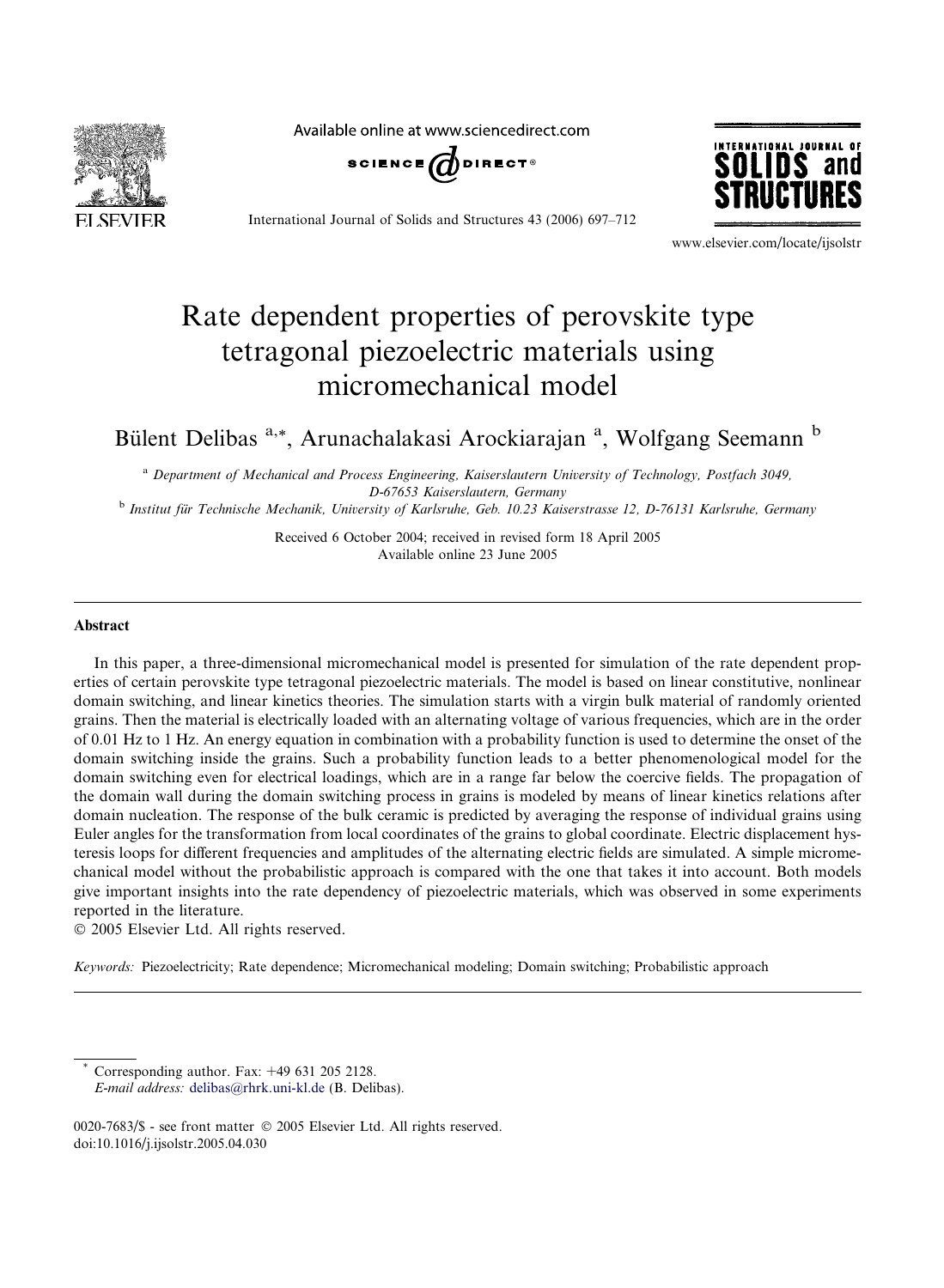

Available online at www.sciencedirect.com



International Journal of Solids and Structures 43 (2006) 697–712



www.elsevier.com/locate/ijsolstr

# Rate dependent properties of perovskite type tetragonal piezoelectric materials using micromechanical model

# Bülent Delibas<sup>a,\*</sup>, Arunachalakasi Arockiarajan<sup>a</sup>, Wolfgang Seemann<sup>b</sup>

<sup>a</sup> *Department of Mechanical and Process Engineering, Kaiserslautern University of Technology, Postfach 3049, D-67653 Kaiserslautern, Germany*

b *Institut fu¨r Technische Mechanik, University of Karlsruhe, Geb. 10.23 Kaiserstrasse 12, D-76131 Karlsruhe, Germany*

Received 6 October 2004; received in revised form 18 April 2005 Available online 23 June 2005

#### Abstract

In this paper, a three-dimensional micromechanical model is presented for simulation of the rate dependent properties of certain perovskite type tetragonal piezoelectric materials. The model is based on linear constitutive, nonlinear domain switching, and linear kinetics theories. The simulation starts with a virgin bulk material of randomly oriented grains. Then the material is electrically loaded with an alternating voltage of various frequencies, which are in the order of 0.01 Hz to 1 Hz. An energy equation in combination with a probability function is used to determine the onset of the domain switching inside the grains. Such a probability function leads to a better phenomenological model for the domain switching even for electrical loadings, which are in a range far below the coercive fields. The propagation of the domain wall during the domain switching process in grains is modeled by means of linear kinetics relations after domain nucleation. The response of the bulk ceramic is predicted by averaging the response of individual grains using Euler angles for the transformation from local coordinates of the grains to global coordinate. Electric displacement hysteresis loops for different frequencies and amplitudes of the alternating electric fields are simulated. A simple micromechanical model without the probabilistic approach is compared with the one that takes it into account. Both models give important insights into the rate dependency of piezoelectric materials, which was observed in some experiments reported in the literature.

2005 Elsevier Ltd. All rights reserved.

*Keywords:* Piezoelectricity; Rate dependence; Micromechanical modeling; Domain switching; Probabilistic approach

Corresponding author. Fax:  $+49$  631 205 2128.

*E-mail address:* delibas@rhrk.uni-kl.de (B. Delibas).

<sup>0020-7683/\$ -</sup> see front matter © 2005 Elsevier Ltd. All rights reserved. doi:10.1016/j.ijsolstr.2005.04.030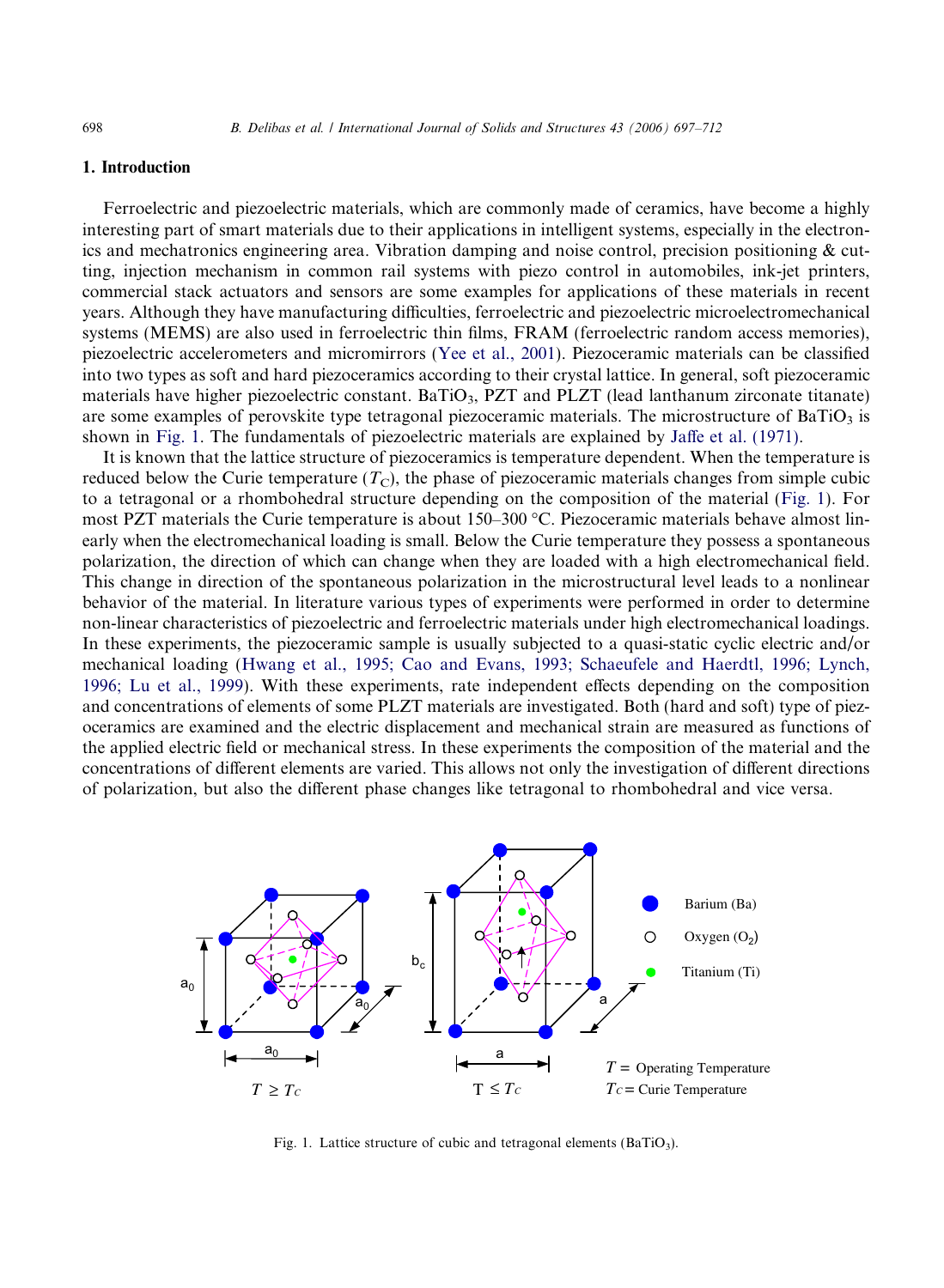# 1. Introduction

Ferroelectric and piezoelectric materials, which are commonly made of ceramics, have become a highly interesting part of smart materials due to their applications in intelligent systems, especially in the electronics and mechatronics engineering area. Vibration damping and noise control, precision positioning & cutting, injection mechanism in common rail systems with piezo control in automobiles, ink-jet printers, commercial stack actuators and sensors are some examples for applications of these materials in recent years. Although they have manufacturing difficulties, ferroelectric and piezoelectric microelectromechanical systems (MEMS) are also used in ferroelectric thin films, FRAM (ferroelectric random access memories), piezoelectric accelerometers and micromirrors (Yee et al., 2001). Piezoceramic materials can be classified into two types as soft and hard piezoceramics according to their crystal lattice. In general, soft piezoceramic materials have higher piezoelectric constant. BaTiO<sub>3</sub>, PZT and PLZT (lead lanthanum zirconate titanate) are some examples of perovskite type tetragonal piezoceramic materials. The microstructure of BaTiO<sub>3</sub> is shown in Fig. 1. The fundamentals of piezoelectric materials are explained by Jaffe et al. (1971).

It is known that the lattice structure of piezoceramics is temperature dependent. When the temperature is reduced below the Curie temperature  $(T<sub>C</sub>)$ , the phase of piezoceramic materials changes from simple cubic to a tetragonal or a rhombohedral structure depending on the composition of the material (Fig. 1). For most PZT materials the Curie temperature is about 150–300 °C. Piezoceramic materials behave almost linearly when the electromechanical loading is small. Below the Curie temperature they possess a spontaneous polarization, the direction of which can change when they are loaded with a high electromechanical field. This change in direction of the spontaneous polarization in the microstructural level leads to a nonlinear behavior of the material. In literature various types of experiments were performed in order to determine non-linear characteristics of piezoelectric and ferroelectric materials under high electromechanical loadings. In these experiments, the piezoceramic sample is usually subjected to a quasi-static cyclic electric and/or mechanical loading (Hwang et al., 1995; Cao and Evans, 1993; Schaeufele and Haerdtl, 1996; Lynch, 1996; Lu et al., 1999). With these experiments, rate independent effects depending on the composition and concentrations of elements of some PLZT materials are investigated. Both (hard and soft) type of piezoceramics are examined and the electric displacement and mechanical strain are measured as functions of the applied electric field or mechanical stress. In these experiments the composition of the material and the concentrations of different elements are varied. This allows not only the investigation of different directions of polarization, but also the different phase changes like tetragonal to rhombohedral and vice versa.



Fig. 1. Lattice structure of cubic and tetragonal elements (BaTiO<sub>3</sub>).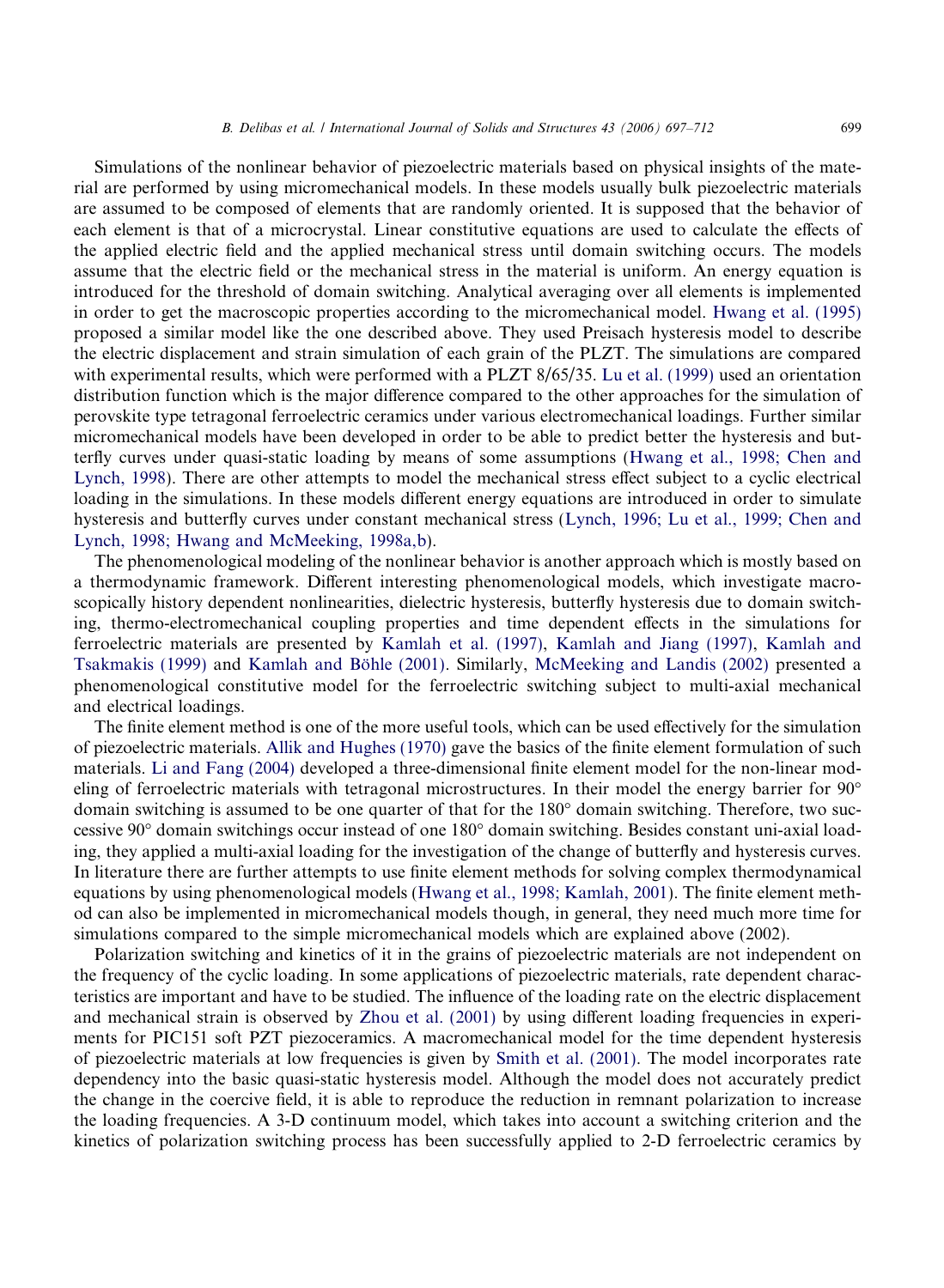Simulations of the nonlinear behavior of piezoelectric materials based on physical insights of the material are performed by using micromechanical models. In these models usually bulk piezoelectric materials are assumed to be composed of elements that are randomly oriented. It is supposed that the behavior of each element is that of a microcrystal. Linear constitutive equations are used to calculate the effects of the applied electric field and the applied mechanical stress until domain switching occurs. The models assume that the electric field or the mechanical stress in the material is uniform. An energy equation is introduced for the threshold of domain switching. Analytical averaging over all elements is implemented in order to get the macroscopic properties according to the micromechanical model. Hwang et al. (1995) proposed a similar model like the one described above. They used Preisach hysteresis model to describe the electric displacement and strain simulation of each grain of the PLZT. The simulations are compared with experimental results, which were performed with a PLZT 8/65/35. Lu et al. (1999) used an orientation distribution function which is the major difference compared to the other approaches for the simulation of perovskite type tetragonal ferroelectric ceramics under various electromechanical loadings. Further similar micromechanical models have been developed in order to be able to predict better the hysteresis and butterfly curves under quasi-static loading by means of some assumptions (Hwang et al., 1998; Chen and Lynch, 1998). There are other attempts to model the mechanical stress effect subject to a cyclic electrical loading in the simulations. In these models different energy equations are introduced in order to simulate hysteresis and butterfly curves under constant mechanical stress (Lynch, 1996; Lu et al., 1999; Chen and Lynch, 1998; Hwang and McMeeking, 1998a,b).

The phenomenological modeling of the nonlinear behavior is another approach which is mostly based on a thermodynamic framework. Different interesting phenomenological models, which investigate macroscopically history dependent nonlinearities, dielectric hysteresis, butterfly hysteresis due to domain switching, thermo-electromechanical coupling properties and time dependent effects in the simulations for ferroelectric materials are presented by Kamlah et al. (1997), Kamlah and Jiang (1997), Kamlah and Tsakmakis (1999) and Kamlah and Böhle (2001). Similarly, McMeeking and Landis (2002) presented a phenomenological constitutive model for the ferroelectric switching subject to multi-axial mechanical and electrical loadings.

The finite element method is one of the more useful tools, which can be used effectively for the simulation of piezoelectric materials. Allik and Hughes (1970) gave the basics of the finite element formulation of such materials. Li and Fang (2004) developed a three-dimensional finite element model for the non-linear modeling of ferroelectric materials with tetragonal microstructures. In their model the energy barrier for  $90^{\circ}$ domain switching is assumed to be one quarter of that for the 180° domain switching. Therefore, two successive 90° domain switchings occur instead of one 180° domain switching. Besides constant uni-axial loading, they applied a multi-axial loading for the investigation of the change of butterfly and hysteresis curves. In literature there are further attempts to use finite element methods for solving complex thermodynamical equations by using phenomenological models (Hwang et al., 1998; Kamlah, 2001). The finite element method can also be implemented in micromechanical models though, in general, they need much more time for simulations compared to the simple micromechanical models which are explained above (2002).

Polarization switching and kinetics of it in the grains of piezoelectric materials are not independent on the frequency of the cyclic loading. In some applications of piezoelectric materials, rate dependent characteristics are important and have to be studied. The influence of the loading rate on the electric displacement and mechanical strain is observed by Zhou et al. (2001) by using different loading frequencies in experiments for PIC151 soft PZT piezoceramics. A macromechanical model for the time dependent hysteresis of piezoelectric materials at low frequencies is given by Smith et al. (2001). The model incorporates rate dependency into the basic quasi-static hysteresis model. Although the model does not accurately predict the change in the coercive field, it is able to reproduce the reduction in remnant polarization to increase the loading frequencies. A 3-D continuum model, which takes into account a switching criterion and the kinetics of polarization switching process has been successfully applied to 2-D ferroelectric ceramics by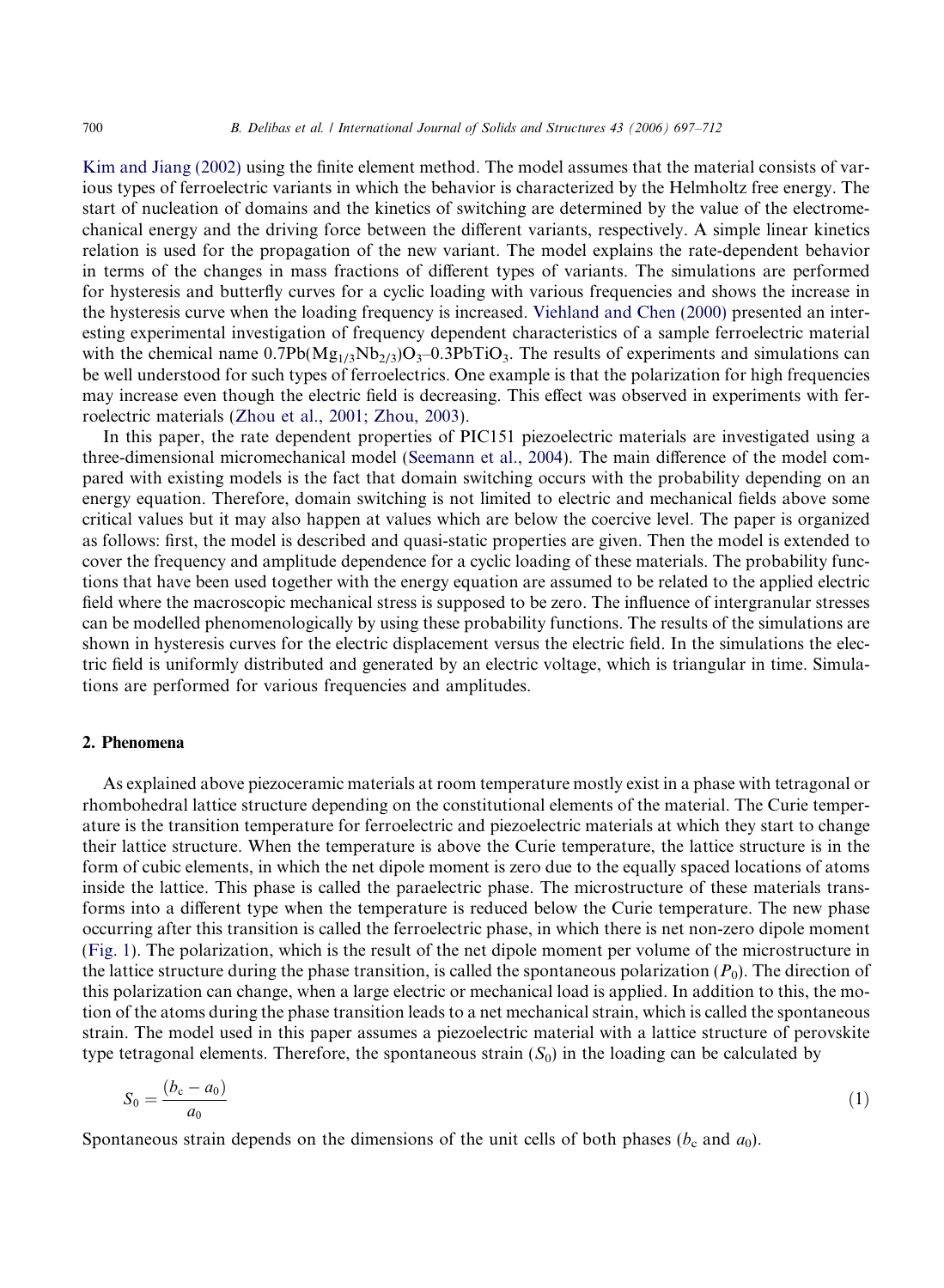Kim and Jiang (2002) using the finite element method. The model assumes that the material consists of various types of ferroelectric variants in which the behavior is characterized by the Helmholtz free energy. The start of nucleation of domains and the kinetics of switching are determined by the value of the electromechanical energy and the driving force between the different variants, respectively. A simple linear kinetics relation is used for the propagation of the new variant. The model explains the rate-dependent behavior in terms of the changes in mass fractions of different types of variants. The simulations are performed for hysteresis and butterfly curves for a cyclic loading with various frequencies and shows the increase in the hysteresis curve when the loading frequency is increased. Viehland and Chen (2000) presented an interesting experimental investigation of frequency dependent characteristics of a sample ferroelectric material with the chemical name  $0.7Pb(Mg_{1/3}Nb_{2/3})O_3-0.3PbTiO_3$ . The results of experiments and simulations can be well understood for such types of ferroelectrics. One example is that the polarization for high frequencies may increase even though the electric field is decreasing. This effect was observed in experiments with ferroelectric materials (Zhou et al., 2001; Zhou, 2003).

In this paper, the rate dependent properties of PIC151 piezoelectric materials are investigated using a three-dimensional micromechanical model (Seemann et al., 2004). The main difference of the model compared with existing models is the fact that domain switching occurs with the probability depending on an energy equation. Therefore, domain switching is not limited to electric and mechanical fields above some critical values but it may also happen at values which are below the coercive level. The paper is organized as follows: first, the model is described and quasi-static properties are given. Then the model is extended to cover the frequency and amplitude dependence for a cyclic loading of these materials. The probability functions that have been used together with the energy equation are assumed to be related to the applied electric field where the macroscopic mechanical stress is supposed to be zero. The influence of intergranular stresses can be modelled phenomenologically by using these probability functions. The results of the simulations are shown in hysteresis curves for the electric displacement versus the electric field. In the simulations the electric field is uniformly distributed and generated by an electric voltage, which is triangular in time. Simulations are performed for various frequencies and amplitudes.

# 2. Phenomena

As explained above piezoceramic materials at room temperature mostly exist in a phase with tetragonal or rhombohedral lattice structure depending on the constitutional elements of the material. The Curie temperature is the transition temperature for ferroelectric and piezoelectric materials at which they start to change their lattice structure. When the temperature is above the Curie temperature, the lattice structure is in the form of cubic elements, in which the net dipole moment is zero due to the equally spaced locations of atoms inside the lattice. This phase is called the paraelectric phase. The microstructure of these materials transforms into a different type when the temperature is reduced below the Curie temperature. The new phase occurring after this transition is called the ferroelectric phase, in which there is net non-zero dipole moment (Fig. 1). The polarization, which is the result of the net dipole moment per volume of the microstructure in the lattice structure during the phase transition, is called the spontaneous polarization  $(P_0)$ . The direction of this polarization can change, when a large electric or mechanical load is applied. In addition to this, the motion of the atoms during the phase transition leads to a net mechanical strain, which is called the spontaneous strain. The model used in this paper assumes a piezoelectric material with a lattice structure of perovskite type tetragonal elements. Therefore, the spontaneous strain  $(S_0)$  in the loading can be calculated by

$$
S_0 = \frac{(b_c - a_0)}{a_0} \tag{1}
$$

Spontaneous strain depends on the dimensions of the unit cells of both phases ( $b_c$  and  $a_0$ ).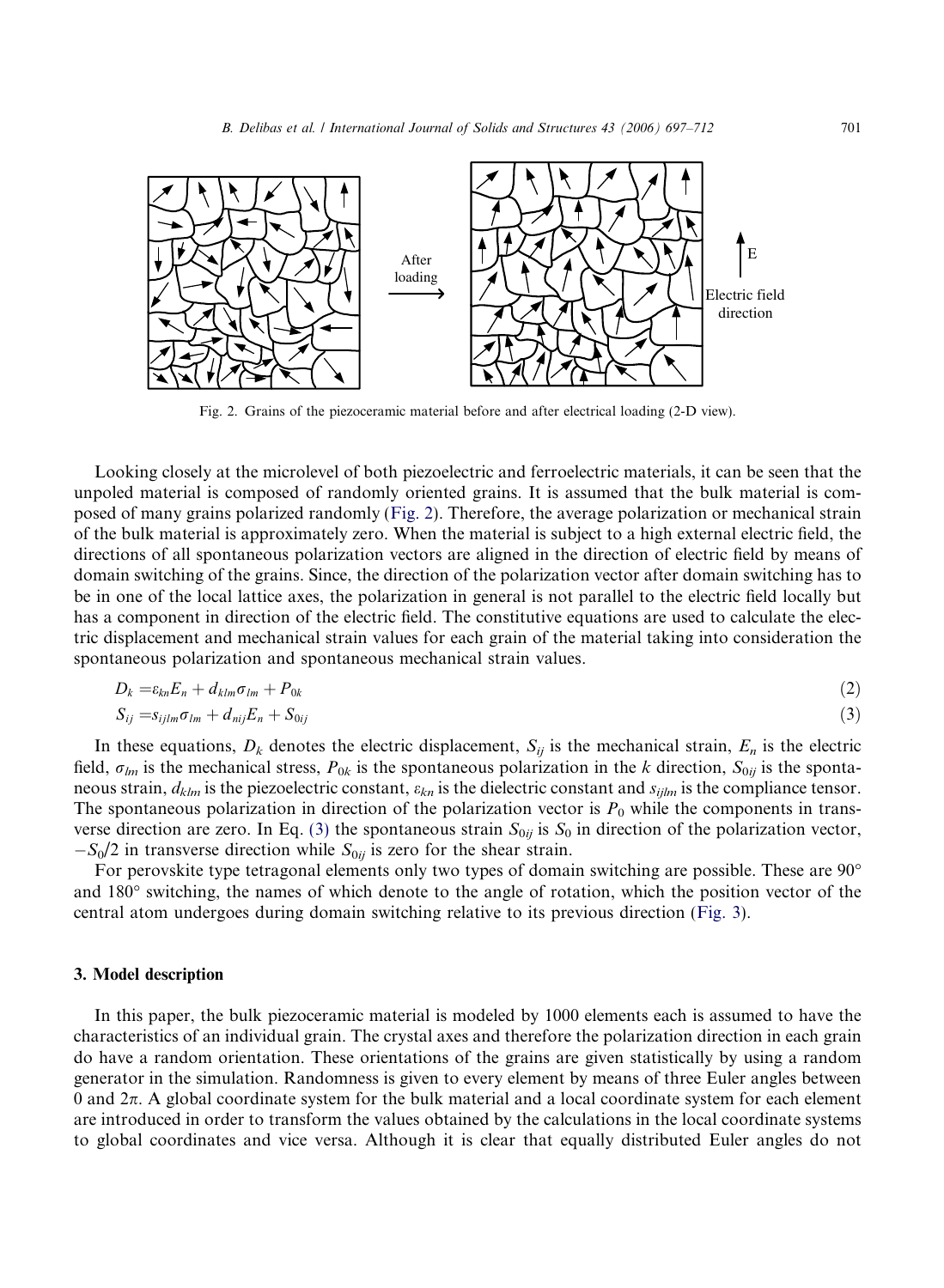

Fig. 2. Grains of the piezoceramic material before and after electrical loading (2-D view).

Looking closely at the microlevel of both piezoelectric and ferroelectric materials, it can be seen that the unpoled material is composed of randomly oriented grains. It is assumed that the bulk material is composed of many grains polarized randomly (Fig. 2). Therefore, the average polarization or mechanical strain of the bulk material is approximately zero. When the material is subject to a high external electric field, the directions of all spontaneous polarization vectors are aligned in the direction of electric field by means of domain switching of the grains. Since, the direction of the polarization vector after domain switching has to be in one of the local lattice axes, the polarization in general is not parallel to the electric field locally but has a component in direction of the electric field. The constitutive equations are used to calculate the electric displacement and mechanical strain values for each grain of the material taking into consideration the spontaneous polarization and spontaneous mechanical strain values.

$$
D_k = \varepsilon_{kn} E_n + d_{klm} \sigma_{lm} + P_{0k} \tag{2}
$$

$$
S_{ij} = S_{ijlm}\sigma_{lm} + d_{nij}E_n + S_{0ij}
$$
\n
$$
\tag{3}
$$

In these equations,  $D_k$  denotes the electric displacement,  $S_{ij}$  is the mechanical strain,  $E_n$  is the electric field,  $\sigma_{lm}$  is the mechanical stress,  $P_{0k}$  is the spontaneous polarization in the *k* direction,  $S_{0ij}$  is the spontaneous strain,  $d_{klm}$  is the piezoelectric constant,  $\varepsilon_{kn}$  is the dielectric constant and  $s_{ijlm}$  is the compliance tensor. The spontaneous polarization in direction of the polarization vector is  $P_0$  while the components in transverse direction are zero. In Eq. (3) the spontaneous strain  $S_{0ij}$  is  $S_0$  in direction of the polarization vector,  $-S_0/2$  in transverse direction while  $S_{0ij}$  is zero for the shear strain.

For perovskite type tetragonal elements only two types of domain switching are possible. These are 90<sup>o</sup> and 180° switching, the names of which denote to the angle of rotation, which the position vector of the central atom undergoes during domain switching relative to its previous direction (Fig. 3).

# 3. Model description

In this paper, the bulk piezoceramic material is modeled by 1000 elements each is assumed to have the characteristics of an individual grain. The crystal axes and therefore the polarization direction in each grain do have a random orientation. These orientations of the grains are given statistically by using a random generator in the simulation. Randomness is given to every element by means of three Euler angles between 0 and  $2\pi$ . A global coordinate system for the bulk material and a local coordinate system for each element are introduced in order to transform the values obtained by the calculations in the local coordinate systems to global coordinates and vice versa. Although it is clear that equally distributed Euler angles do not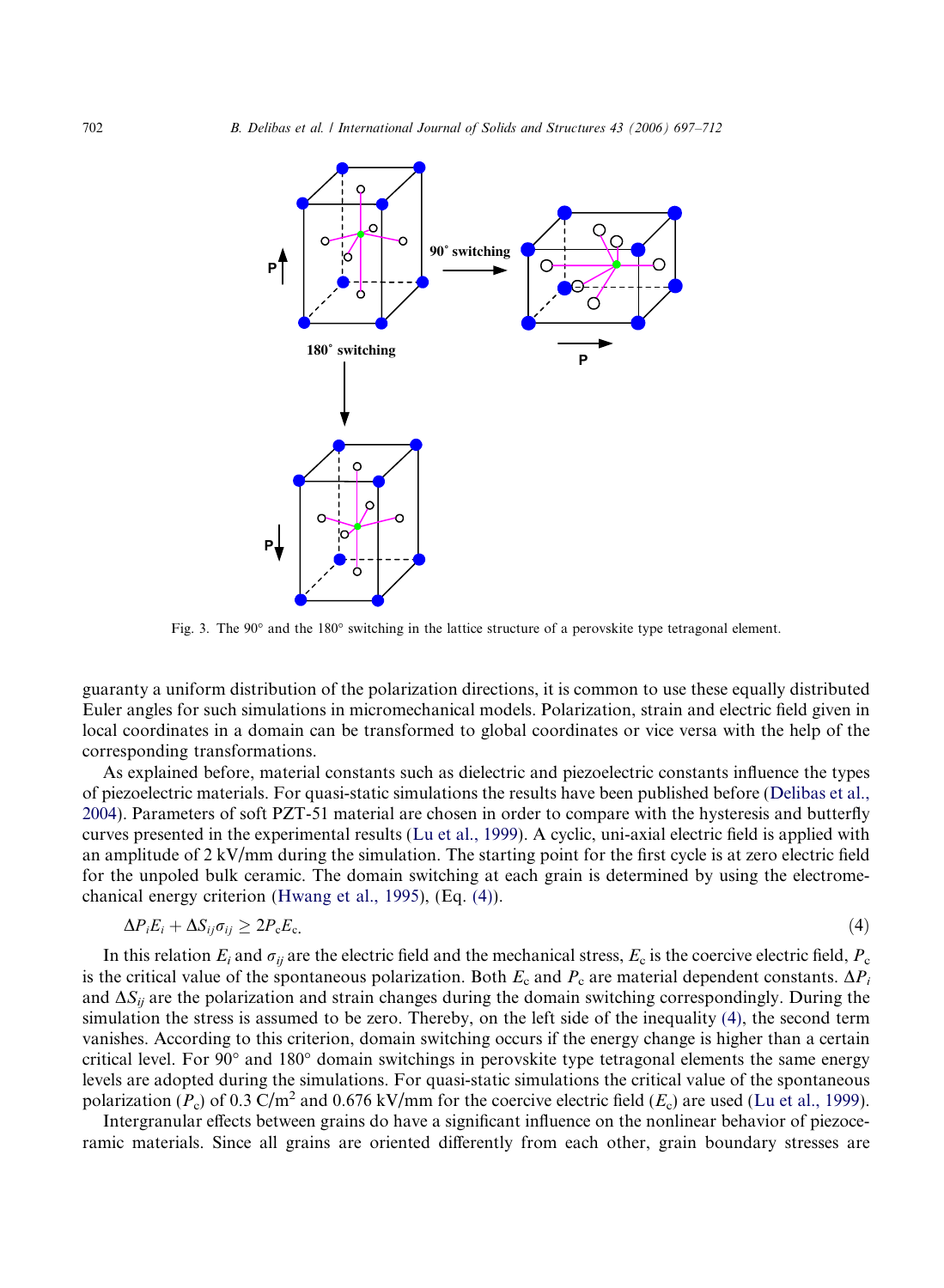

Fig. 3. The 90° and the 180° switching in the lattice structure of a perovskite type tetragonal element.

guaranty a uniform distribution of the polarization directions, it is common to use these equally distributed Euler angles for such simulations in micromechanical models. Polarization, strain and electric field given in local coordinates in a domain can be transformed to global coordinates or vice versa with the help of the corresponding transformations.

As explained before, material constants such as dielectric and piezoelectric constants influence the types of piezoelectric materials. For quasi-static simulations the results have been published before (Delibas et al., 2004). Parameters of soft PZT-51 material are chosen in order to compare with the hysteresis and butterfly curves presented in the experimental results (Lu et al., 1999). A cyclic, uni-axial electric field is applied with an amplitude of 2 kV/mm during the simulation. The starting point for the first cycle is at zero electric field for the unpoled bulk ceramic. The domain switching at each grain is determined by using the electromechanical energy criterion (Hwang et al., 1995), (Eq. (4)).

$$
\Delta P_i E_i + \Delta S_{ij} \sigma_{ij} \geq 2P_{\rm c} E_{\rm c.}
$$
\n<sup>(4)</sup>

In this relation  $E_i$  and  $\sigma_{ij}$  are the electric field and the mechanical stress,  $E_c$  is the coercive electric field,  $P_c$ is the critical value of the spontaneous polarization. Both  $E_c$  and  $P_c$  are material dependent constants.  $\Delta P_i$ and  $\Delta S_{ii}$  are the polarization and strain changes during the domain switching correspondingly. During the simulation the stress is assumed to be zero. Thereby, on the left side of the inequality (4), the second term vanishes. According to this criterion, domain switching occurs if the energy change is higher than a certain critical level. For 90° and 180° domain switchings in perovskite type tetragonal elements the same energy levels are adopted during the simulations. For quasi-static simulations the critical value of the spontaneous polarization  $(P_c)$  of 0.3 C/m<sup>2</sup> and 0.676 kV/mm for the coercive electric field  $(E_c)$  are used (Lu et al., 1999).

Intergranular effects between grains do have a significant influence on the nonlinear behavior of piezoceramic materials. Since all grains are oriented differently from each other, grain boundary stresses are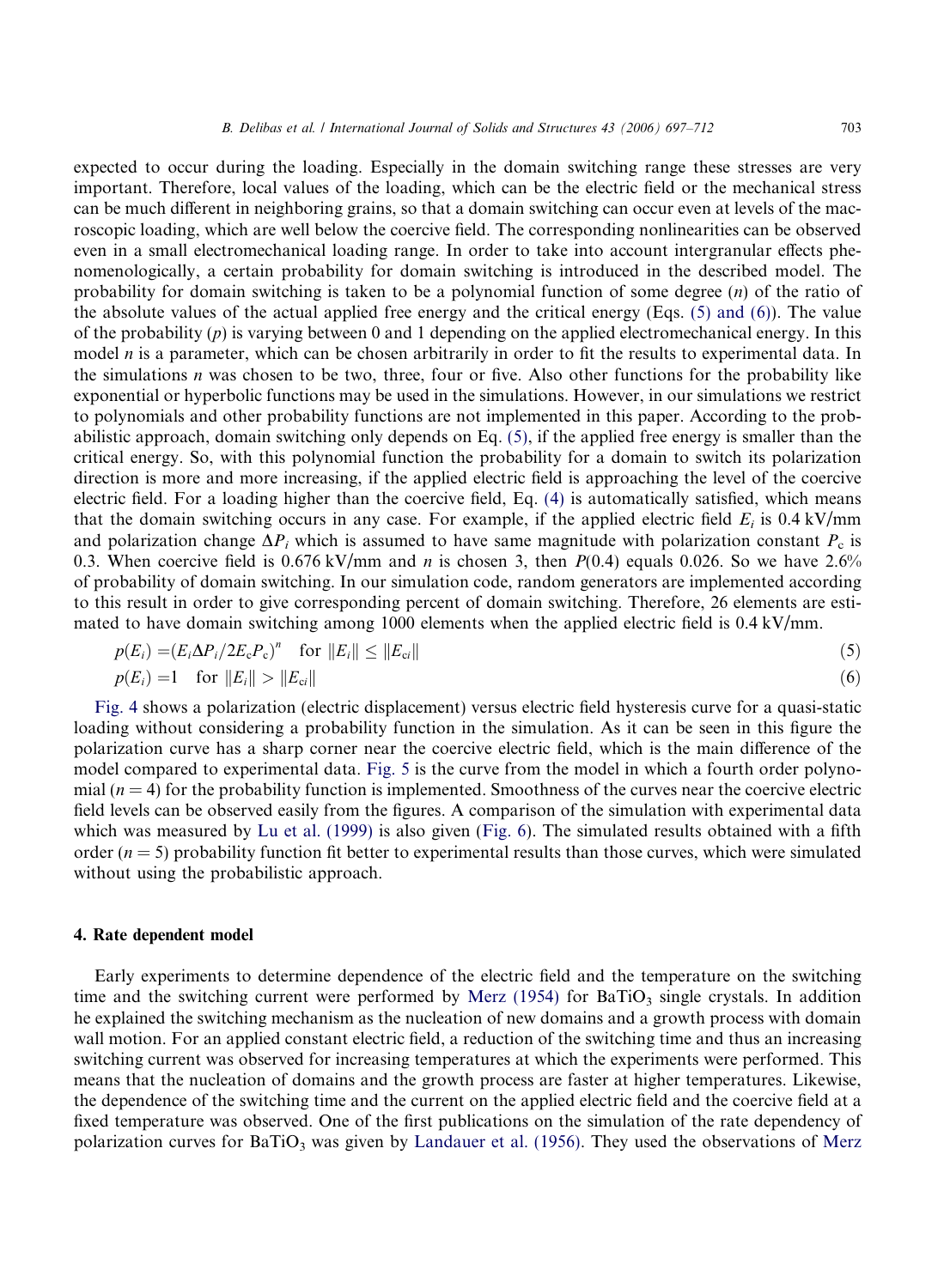expected to occur during the loading. Especially in the domain switching range these stresses are very important. Therefore, local values of the loading, which can be the electric field or the mechanical stress can be much different in neighboring grains, so that a domain switching can occur even at levels of the macroscopic loading, which are well below the coercive field. The corresponding nonlinearities can be observed even in a small electromechanical loading range. In order to take into account intergranular effects phenomenologically, a certain probability for domain switching is introduced in the described model. The probability for domain switching is taken to be a polynomial function of some degree (*n*) of the ratio of the absolute values of the actual applied free energy and the critical energy (Eqs. (5) and (6)). The value of the probability (*p*) is varying between 0 and 1 depending on the applied electromechanical energy. In this model *n* is a parameter, which can be chosen arbitrarily in order to fit the results to experimental data. In the simulations *n* was chosen to be two, three, four or five. Also other functions for the probability like exponential or hyperbolic functions may be used in the simulations. However, in our simulations we restrict to polynomials and other probability functions are not implemented in this paper. According to the probabilistic approach, domain switching only depends on Eq. (5), if the applied free energy is smaller than the critical energy. So, with this polynomial function the probability for a domain to switch its polarization direction is more and more increasing, if the applied electric field is approaching the level of the coercive electric field. For a loading higher than the coercive field, Eq. (4) is automatically satisfied, which means that the domain switching occurs in any case. For example, if the applied electric field  $E_i$  is 0.4 kV/mm and polarization change  $\Delta P_i$  which is assumed to have same magnitude with polarization constant  $P_c$  is 0.3. When coercive field is 0.676 kV/mm and *n* is chosen 3, then *P*(0.4) equals 0.026. So we have 2.6% of probability of domain switching. In our simulation code, random generators are implemented according to this result in order to give corresponding percent of domain switching. Therefore, 26 elements are estimated to have domain switching among 1000 elements when the applied electric field is 0.4 kV/mm.

$$
p(E_i) = (E_i \Delta P_i / 2E_c P_c)^n \quad \text{for } ||E_i|| \le ||E_{ci}|| \tag{5}
$$

$$
p(E_i) = 1 \quad \text{for } ||E_i|| > ||E_{ci}|| \tag{6}
$$

Fig. 4 shows a polarization (electric displacement) versus electric field hysteresis curve for a quasi-static loading without considering a probability function in the simulation. As it can be seen in this figure the polarization curve has a sharp corner near the coercive electric field, which is the main difference of the model compared to experimental data. Fig. 5 is the curve from the model in which a fourth order polynomial  $(n = 4)$  for the probability function is implemented. Smoothness of the curves near the coercive electric field levels can be observed easily from the figures. A comparison of the simulation with experimental data which was measured by Lu et al. (1999) is also given (Fig. 6). The simulated results obtained with a fifth order  $(n = 5)$  probability function fit better to experimental results than those curves, which were simulated without using the probabilistic approach.

#### 4. Rate dependent model

Early experiments to determine dependence of the electric field and the temperature on the switching time and the switching current were performed by Merz (1954) for BaTiO<sub>3</sub> single crystals. In addition he explained the switching mechanism as the nucleation of new domains and a growth process with domain wall motion. For an applied constant electric field, a reduction of the switching time and thus an increasing switching current was observed for increasing temperatures at which the experiments were performed. This means that the nucleation of domains and the growth process are faster at higher temperatures. Likewise, the dependence of the switching time and the current on the applied electric field and the coercive field at a fixed temperature was observed. One of the first publications on the simulation of the rate dependency of polarization curves for  $BaTiO<sub>3</sub>$  was given by Landauer et al. (1956). They used the observations of Merz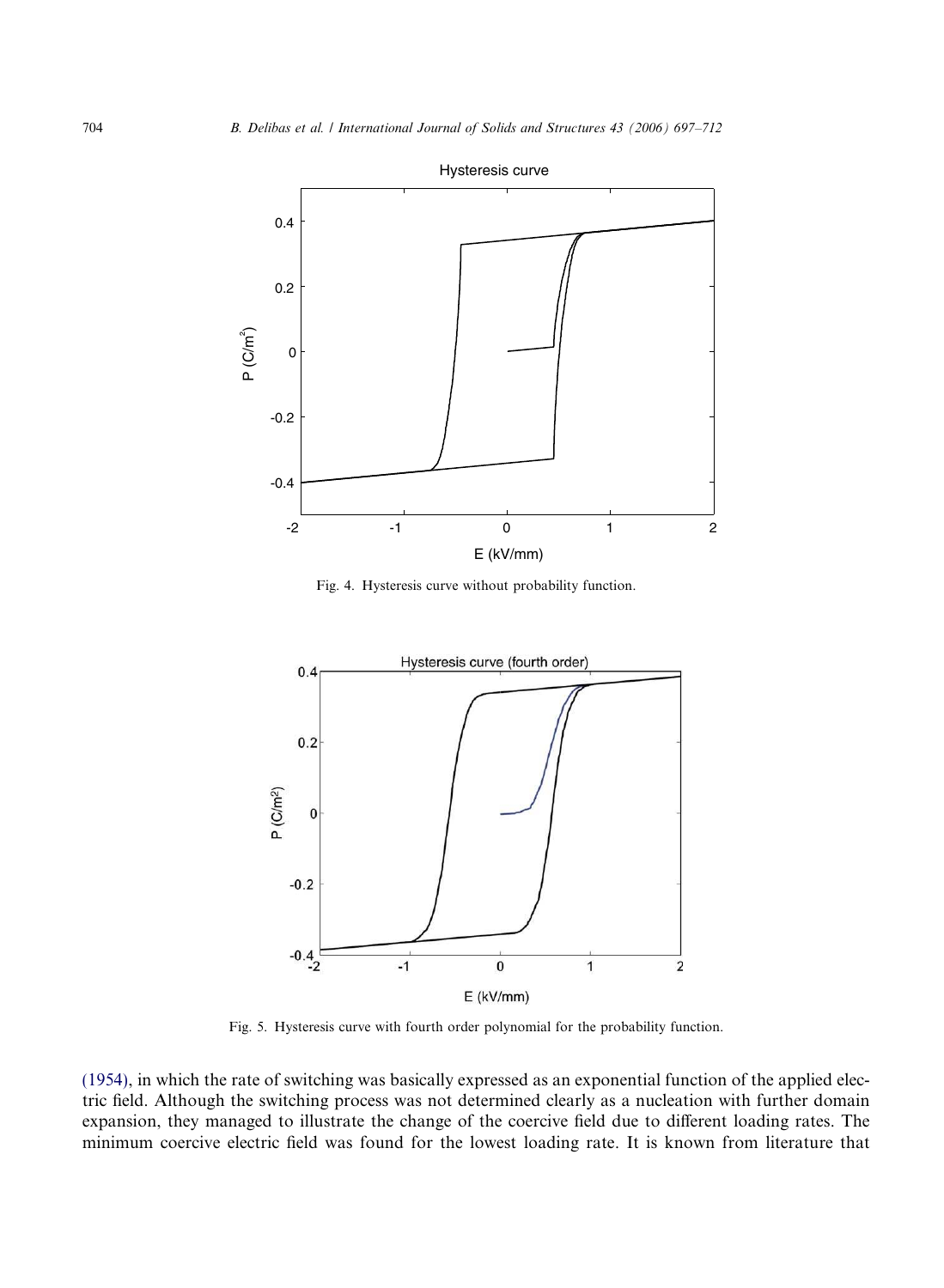

Fig. 4. Hysteresis curve without probability function.



Fig. 5. Hysteresis curve with fourth order polynomial for the probability function.

(1954), in which the rate of switching was basically expressed as an exponential function of the applied electric field. Although the switching process was not determined clearly as a nucleation with further domain expansion, they managed to illustrate the change of the coercive field due to different loading rates. The minimum coercive electric field was found for the lowest loading rate. It is known from literature that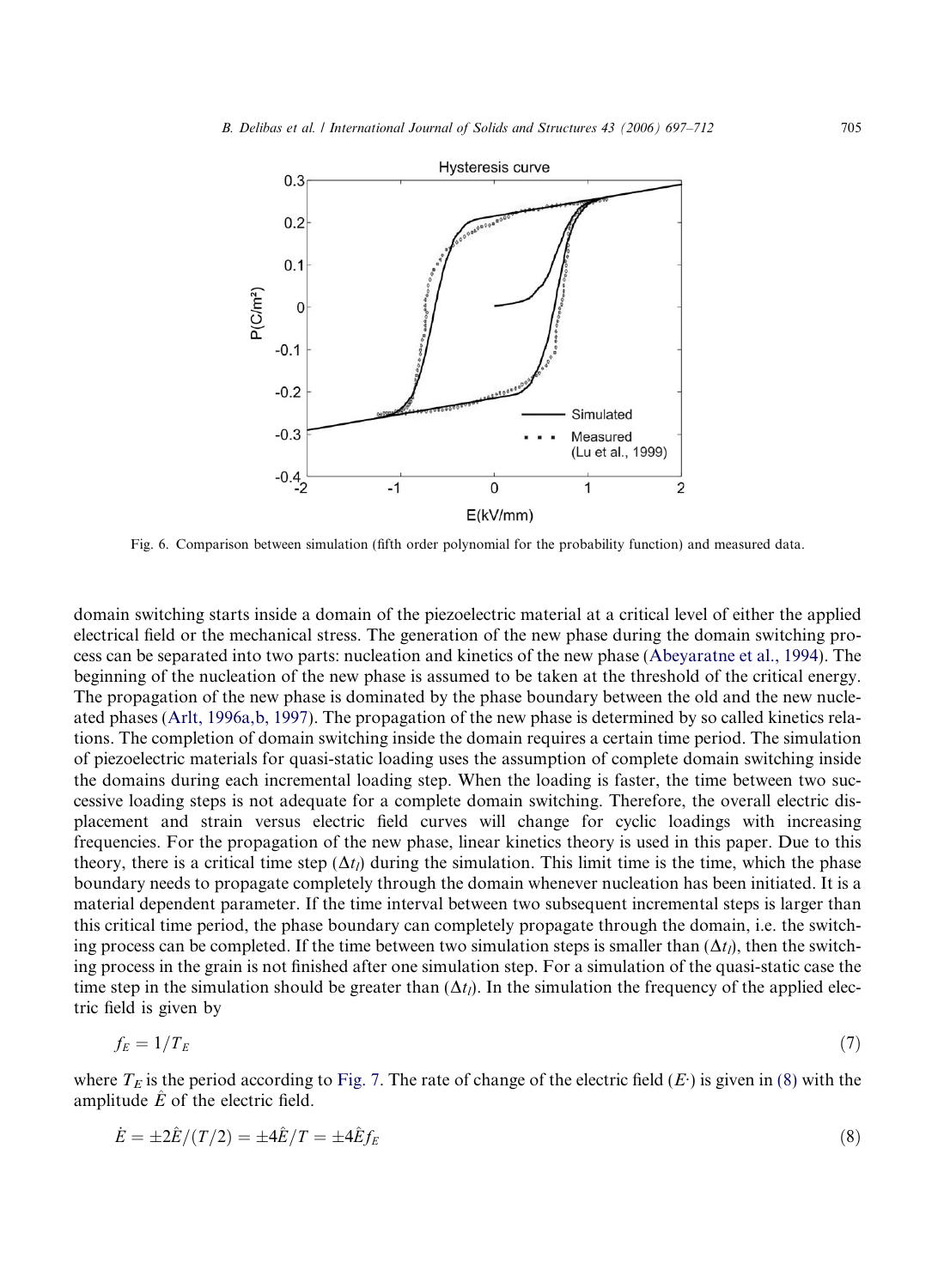

Fig. 6. Comparison between simulation (fifth order polynomial for the probability function) and measured data.

domain switching starts inside a domain of the piezoelectric material at a critical level of either the applied electrical field or the mechanical stress. The generation of the new phase during the domain switching process can be separated into two parts: nucleation and kinetics of the new phase (Abeyaratne et al., 1994). The beginning of the nucleation of the new phase is assumed to be taken at the threshold of the critical energy. The propagation of the new phase is dominated by the phase boundary between the old and the new nucleated phases (Arlt, 1996a,b, 1997). The propagation of the new phase is determined by so called kinetics relations. The completion of domain switching inside the domain requires a certain time period. The simulation of piezoelectric materials for quasi-static loading uses the assumption of complete domain switching inside the domains during each incremental loading step. When the loading is faster, the time between two successive loading steps is not adequate for a complete domain switching. Therefore, the overall electric displacement and strain versus electric field curves will change for cyclic loadings with increasing frequencies. For the propagation of the new phase, linear kinetics theory is used in this paper. Due to this theory, there is a critical time step  $(\Delta t_l)$  during the simulation. This limit time is the time, which the phase boundary needs to propagate completely through the domain whenever nucleation has been initiated. It is a material dependent parameter. If the time interval between two subsequent incremental steps is larger than this critical time period, the phase boundary can completely propagate through the domain, i.e. the switching process can be completed. If the time between two simulation steps is smaller than  $(\Delta t_l)$ , then the switching process in the grain is not finished after one simulation step. For a simulation of the quasi-static case the time step in the simulation should be greater than  $(\Delta t_i)$ . In the simulation the frequency of the applied electric field is given by

$$
f_E = 1/T_E \tag{7}
$$

where  $T_E$  is the period according to Fig. 7. The rate of change of the electric field  $(E)$  is given in (8) with the amplitude  $\hat{E}$  of the electric field.

$$
\dot{E} = \pm 2\hat{E}/(T/2) = \pm 4\hat{E}/T = \pm 4\hat{E}f_E
$$
\n(8)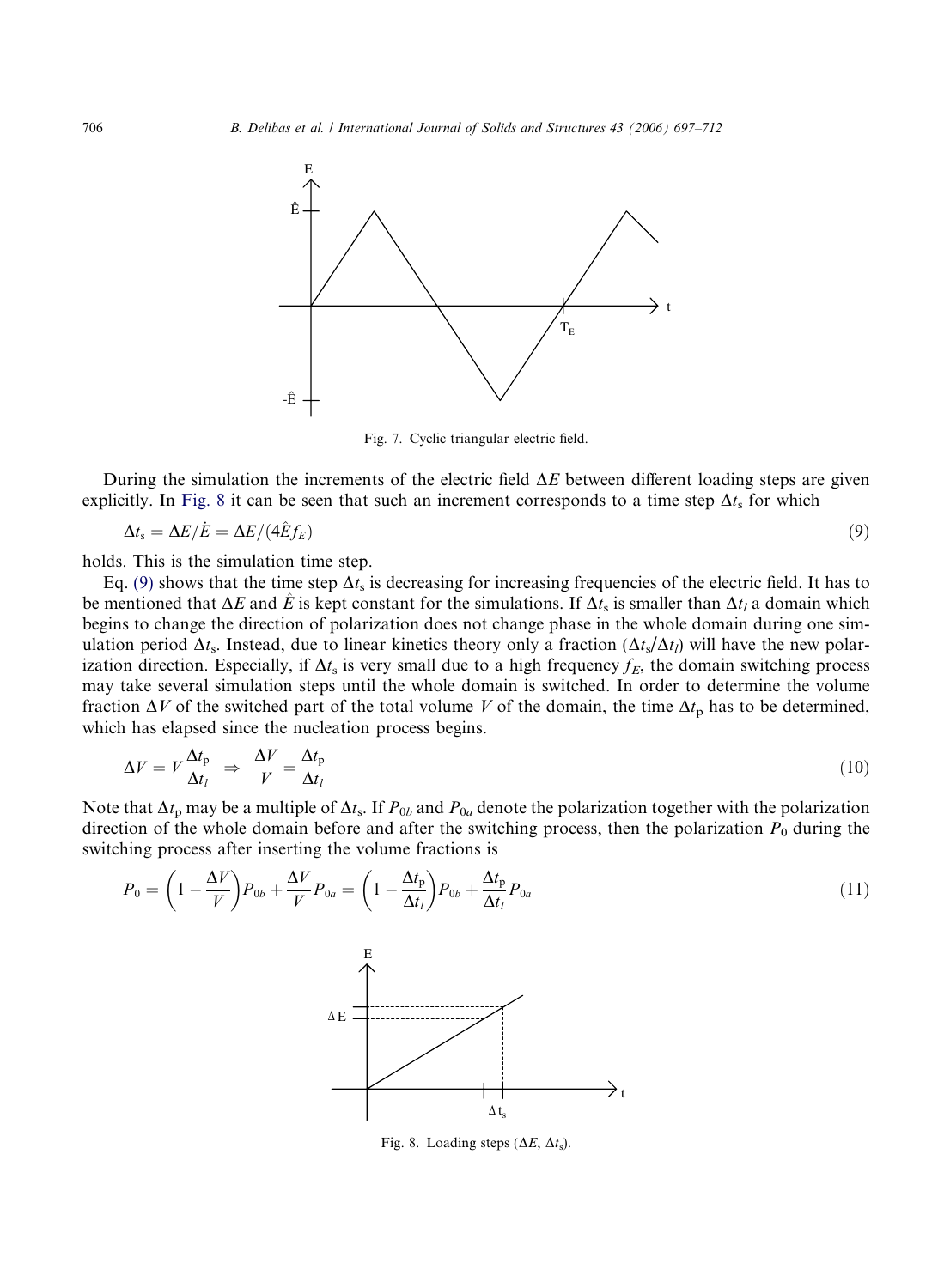

Fig. 7. Cyclic triangular electric field.

During the simulation the increments of the electric field  $\Delta E$  between different loading steps are given explicitly. In Fig. 8 it can be seen that such an increment corresponds to a time step  $\Delta t_s$  for which

$$
\Delta t_{\rm s} = \Delta E / \dot{E} = \Delta E / (4 \hat{E} f_E) \tag{9}
$$

holds. This is the simulation time step.

Eq. (9) shows that the time step  $\Delta t_s$  is decreasing for increasing frequencies of the electric field. It has to be mentioned that  $\Delta E$  and  $\hat{E}$  is kept constant for the simulations. If  $\Delta t_s$  is smaller than  $\Delta t_l$  a domain which begins to change the direction of polarization does not change phase in the whole domain during one simulation period  $\Delta t_s$ . Instead, due to linear kinetics theory only a fraction  $(\Delta t_s/\Delta t_l)$  will have the new polarization direction. Especially, if  $\Delta t_s$  is very small due to a high frequency  $f_E$ , the domain switching process may take several simulation steps until the whole domain is switched. In order to determine the volume fraction  $\Delta V$  of the switched part of the total volume *V* of the domain, the time  $\Delta t_p$  has to be determined, which has elapsed since the nucleation process begins.

$$
\Delta V = V \frac{\Delta t_{\rm p}}{\Delta t_l} \Rightarrow \frac{\Delta V}{V} = \frac{\Delta t_{\rm p}}{\Delta t_l} \tag{10}
$$

Note that  $\Delta t_p$  may be a multiple of  $\Delta t_s$ . If  $P_{0b}$  and  $P_{0a}$  denote the polarization together with the polarization direction of the whole domain before and after the switching process, then the polarization  $P_0$  during the switching process after inserting the volume fractions is

$$
P_0 = \left(1 - \frac{\Delta V}{V}\right) P_{0b} + \frac{\Delta V}{V} P_{0a} = \left(1 - \frac{\Delta t_p}{\Delta t_l}\right) P_{0b} + \frac{\Delta t_p}{\Delta t_l} P_{0a}
$$
\n
$$
\Delta E \longrightarrow 1
$$
\n
$$
\Delta E \longrightarrow 1
$$
\n
$$
\Delta t_s
$$
\n(11)

Fig. 8. Loading steps  $(\Delta E, \Delta t_s)$ .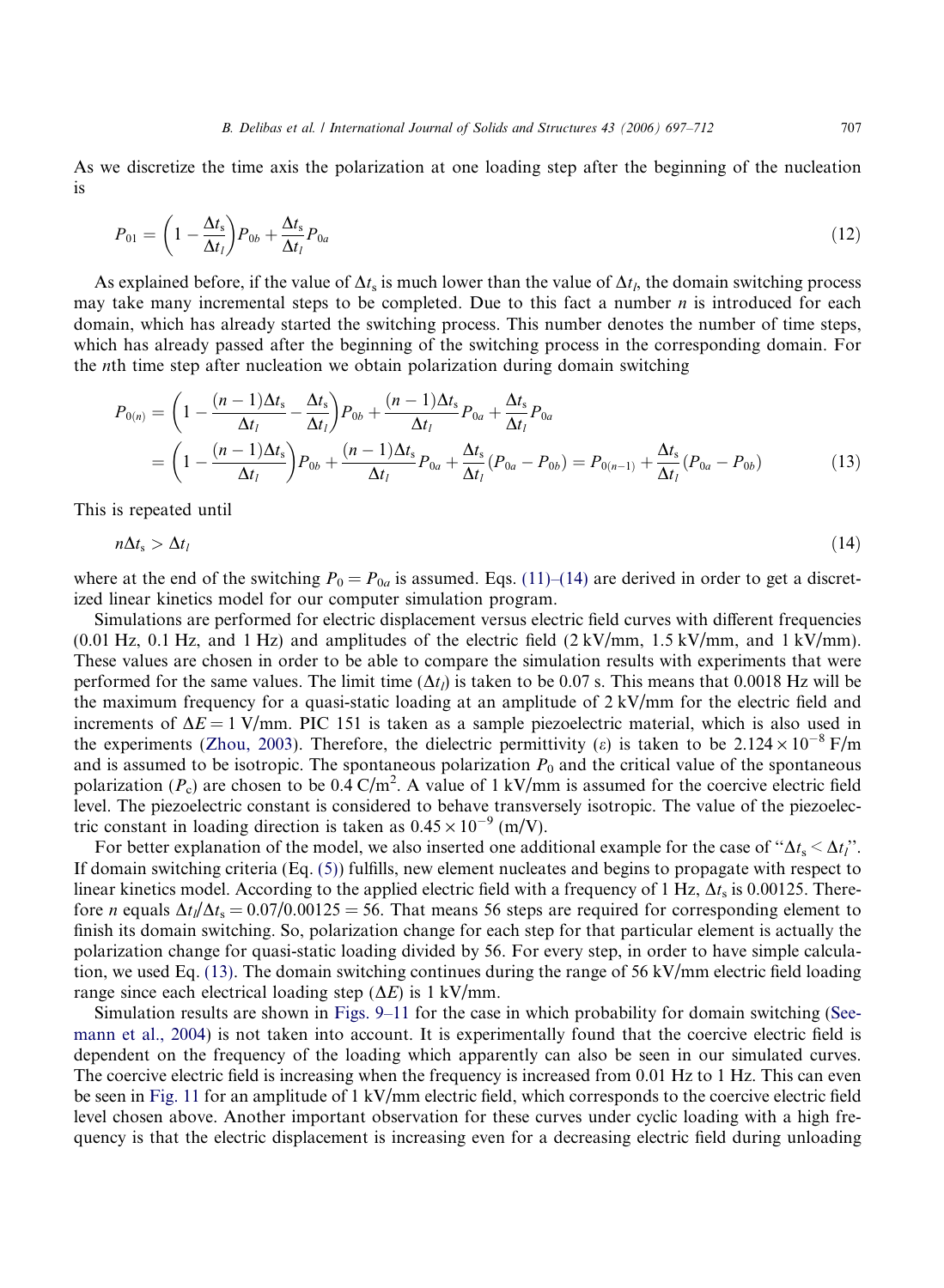As we discretize the time axis the polarization at one loading step after the beginning of the nucleation is

$$
P_{01} = \left(1 - \frac{\Delta t_s}{\Delta t_l}\right) P_{0b} + \frac{\Delta t_s}{\Delta t_l} P_{0a} \tag{12}
$$

As explained before, if the value of  $\Delta t_s$  is much lower than the value of  $\Delta t_l$ , the domain switching process may take many incremental steps to be completed. Due to this fact a number *n* is introduced for each domain, which has already started the switching process. This number denotes the number of time steps, which has already passed after the beginning of the switching process in the corresponding domain. For the *n*th time step after nucleation we obtain polarization during domain switching

$$
P_{0(n)} = \left(1 - \frac{(n-1)\Delta t_s}{\Delta t_l} - \frac{\Delta t_s}{\Delta t_l}\right) P_{0b} + \frac{(n-1)\Delta t_s}{\Delta t_l} P_{0a} + \frac{\Delta t_s}{\Delta t_l} P_{0a}
$$
  
=  $\left(1 - \frac{(n-1)\Delta t_s}{\Delta t_l}\right) P_{0b} + \frac{(n-1)\Delta t_s}{\Delta t_l} P_{0a} + \frac{\Delta t_s}{\Delta t_l} (P_{0a} - P_{0b}) = P_{0(n-1)} + \frac{\Delta t_s}{\Delta t_l} (P_{0a} - P_{0b})$  (13)

This is repeated until

$$
n\Delta t_s > \Delta t_l \tag{14}
$$

where at the end of the switching  $P_0 = P_{0a}$  is assumed. Eqs. (11)–(14) are derived in order to get a discretized linear kinetics model for our computer simulation program.

Simulations are performed for electric displacement versus electric field curves with different frequencies  $(0.01 \text{ Hz}, 0.1 \text{ Hz}, \text{ and } 1 \text{ Hz})$  and amplitudes of the electric field  $(2 \text{ kV/mm}, 1.5 \text{ kV/mm}, \text{ and } 1 \text{ kV/mm})$ . These values are chosen in order to be able to compare the simulation results with experiments that were performed for the same values. The limit time  $(\Delta t_l)$  is taken to be 0.07 s. This means that 0.0018 Hz will be the maximum frequency for a quasi-static loading at an amplitude of  $2 \text{ kV/mm}$  for the electric field and increments of  $\Delta E = 1$  V/mm. PIC 151 is taken as a sample piezoelectric material, which is also used in the experiments (Zhou, 2003). Therefore, the dielectric permittivity (e) is taken to be  $2.124 \times 10^{-8}$  F/m and is assumed to be isotropic. The spontaneous polarization  $P_0$  and the critical value of the spontaneous polarization ( $P_c$ ) are chosen to be  $0.\overline{4} \text{ C/m}^2$ . A value of 1 kV/mm is assumed for the coercive electric field level. The piezoelectric constant is considered to behave transversely isotropic. The value of the piezoelectric constant in loading direction is taken as  $0.45 \times 10^{-9}$  (m/V).

For better explanation of the model, we also inserted one additional example for the case of " $\Delta t_s < \Delta t_l$ ". If domain switching criteria (Eq. (5)) fulfills, new element nucleates and begins to propagate with respect to linear kinetics model. According to the applied electric field with a frequency of  $1 \text{ Hz}$ ,  $\Delta t_s$  is 0.00125. Therefore *n* equals  $\Delta t_l/\Delta t_s = 0.07/0.00125 = 56$ . That means 56 steps are required for corresponding element to finish its domain switching. So, polarization change for each step for that particular element is actually the polarization change for quasi-static loading divided by 56. For every step, in order to have simple calculation, we used Eq. (13). The domain switching continues during the range of 56 kV/mm electric field loading range since each electrical loading step  $(\Delta E)$  is 1 kV/mm.

Simulation results are shown in Figs. 9–11 for the case in which probability for domain switching (Seemann et al., 2004) is not taken into account. It is experimentally found that the coercive electric field is dependent on the frequency of the loading which apparently can also be seen in our simulated curves. The coercive electric field is increasing when the frequency is increased from 0.01 Hz to 1 Hz. This can even be seen in Fig. 11 for an amplitude of 1 kV/mm electric field, which corresponds to the coercive electric field level chosen above. Another important observation for these curves under cyclic loading with a high frequency is that the electric displacement is increasing even for a decreasing electric field during unloading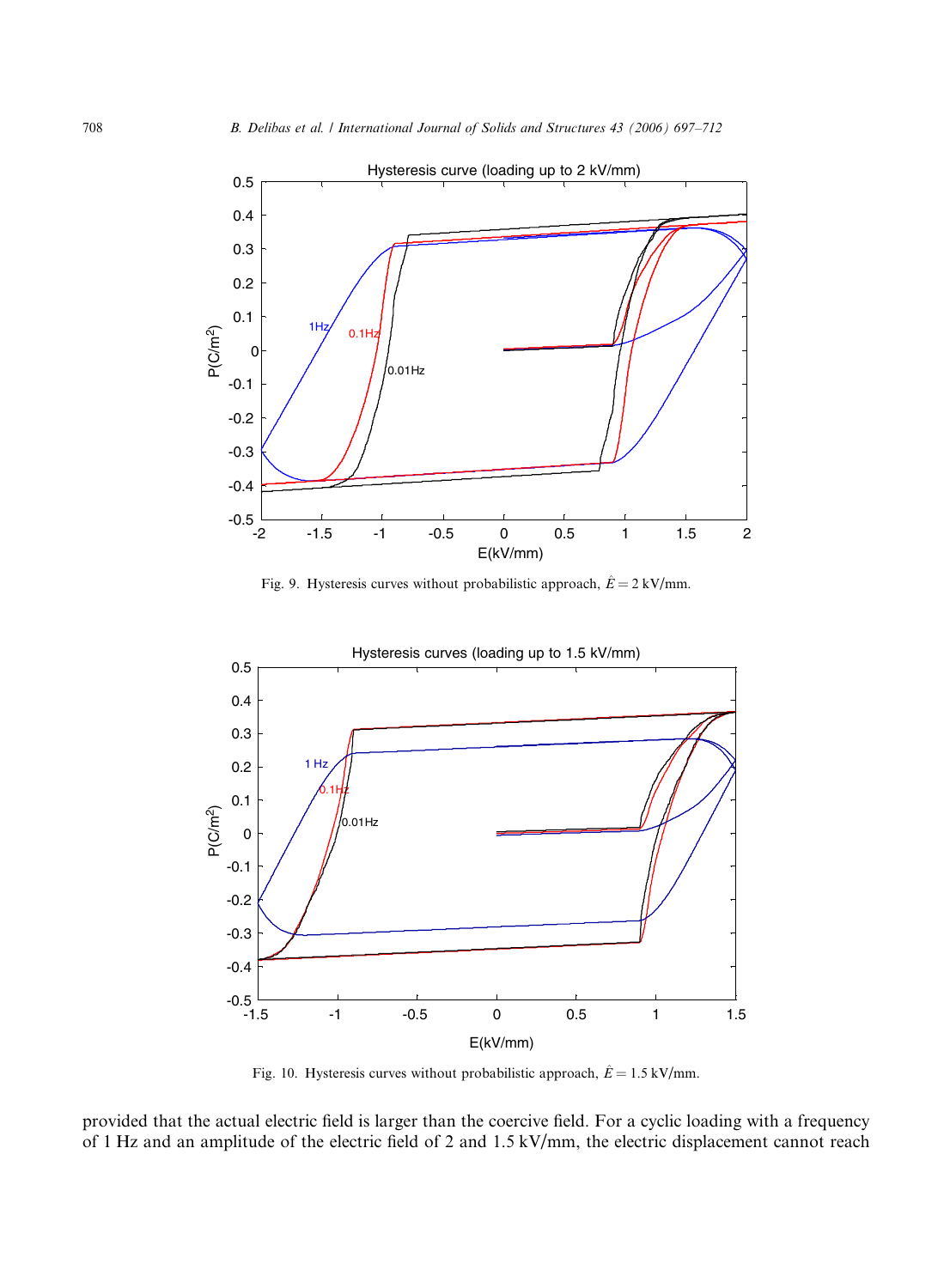

Fig. 9. Hysteresis curves without probabilistic approach,  $\hat{E} = 2 \text{ kV/mm}$ .



Fig. 10. Hysteresis curves without probabilistic approach,  $\hat{E} = 1.5 \text{ kV/mm}$ .

provided that the actual electric field is larger than the coercive field. For a cyclic loading with a frequency of 1 Hz and an amplitude of the electric field of 2 and 1.5 kV/mm, the electric displacement cannot reach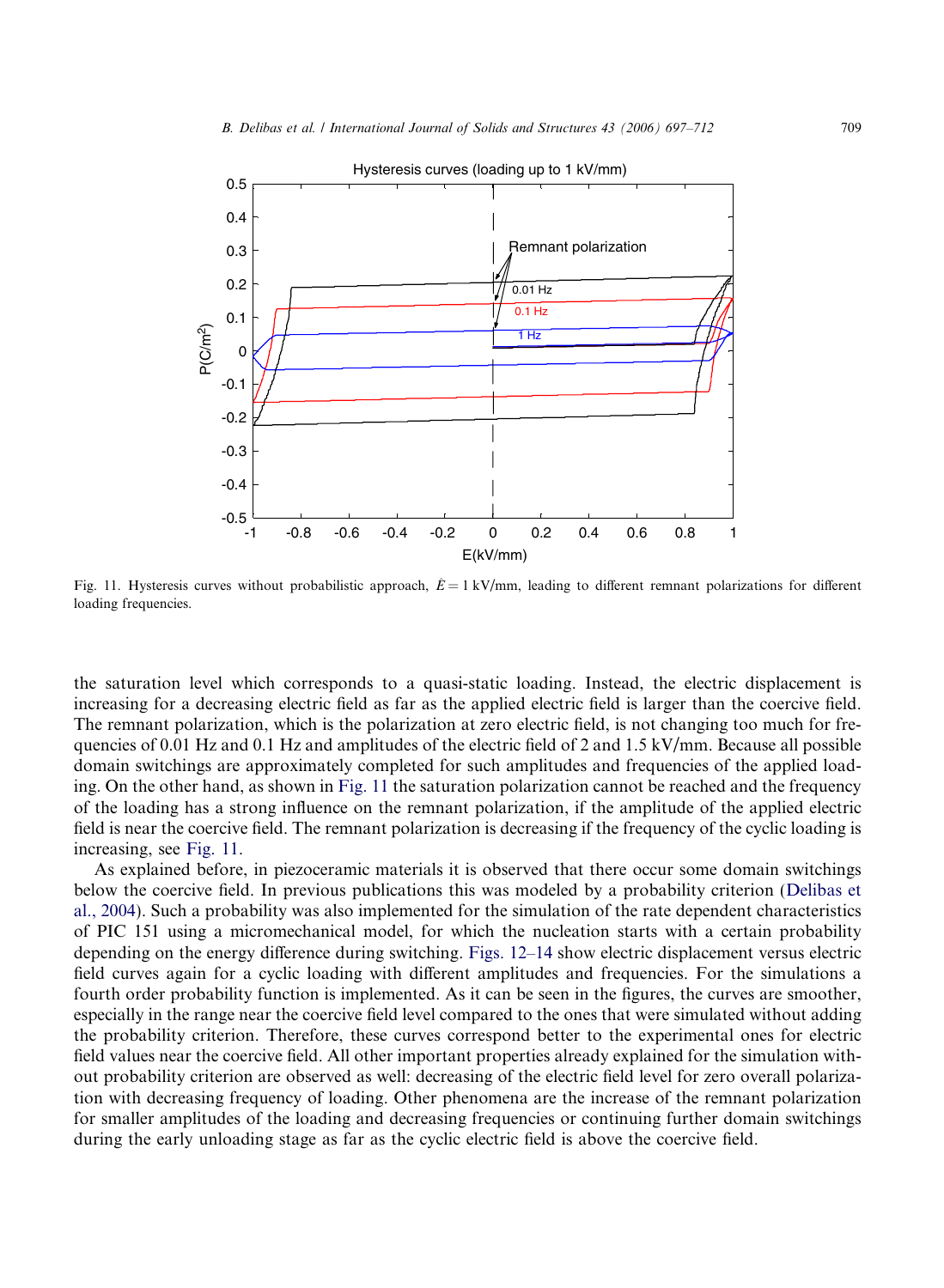

Fig. 11. Hysteresis curves without probabilistic approach,  $\hat{E} = 1 \text{ kV/mm}$ , leading to different remnant polarizations for different loading frequencies.

the saturation level which corresponds to a quasi-static loading. Instead, the electric displacement is increasing for a decreasing electric field as far as the applied electric field is larger than the coercive field. The remnant polarization, which is the polarization at zero electric field, is not changing too much for frequencies of 0.01 Hz and 0.1 Hz and amplitudes of the electric field of 2 and 1.5 kV/mm. Because all possible domain switchings are approximately completed for such amplitudes and frequencies of the applied loading. On the other hand, as shown in Fig. 11 the saturation polarization cannot be reached and the frequency of the loading has a strong influence on the remnant polarization, if the amplitude of the applied electric field is near the coercive field. The remnant polarization is decreasing if the frequency of the cyclic loading is increasing, see Fig. 11.

As explained before, in piezoceramic materials it is observed that there occur some domain switchings below the coercive field. In previous publications this was modeled by a probability criterion (Delibas et al., 2004). Such a probability was also implemented for the simulation of the rate dependent characteristics of PIC 151 using a micromechanical model, for which the nucleation starts with a certain probability depending on the energy difference during switching. Figs. 12–14 show electric displacement versus electric field curves again for a cyclic loading with different amplitudes and frequencies. For the simulations a fourth order probability function is implemented. As it can be seen in the figures, the curves are smoother, especially in the range near the coercive field level compared to the ones that were simulated without adding the probability criterion. Therefore, these curves correspond better to the experimental ones for electric field values near the coercive field. All other important properties already explained for the simulation without probability criterion are observed as well: decreasing of the electric field level for zero overall polarization with decreasing frequency of loading. Other phenomena are the increase of the remnant polarization for smaller amplitudes of the loading and decreasing frequencies or continuing further domain switchings during the early unloading stage as far as the cyclic electric field is above the coercive field.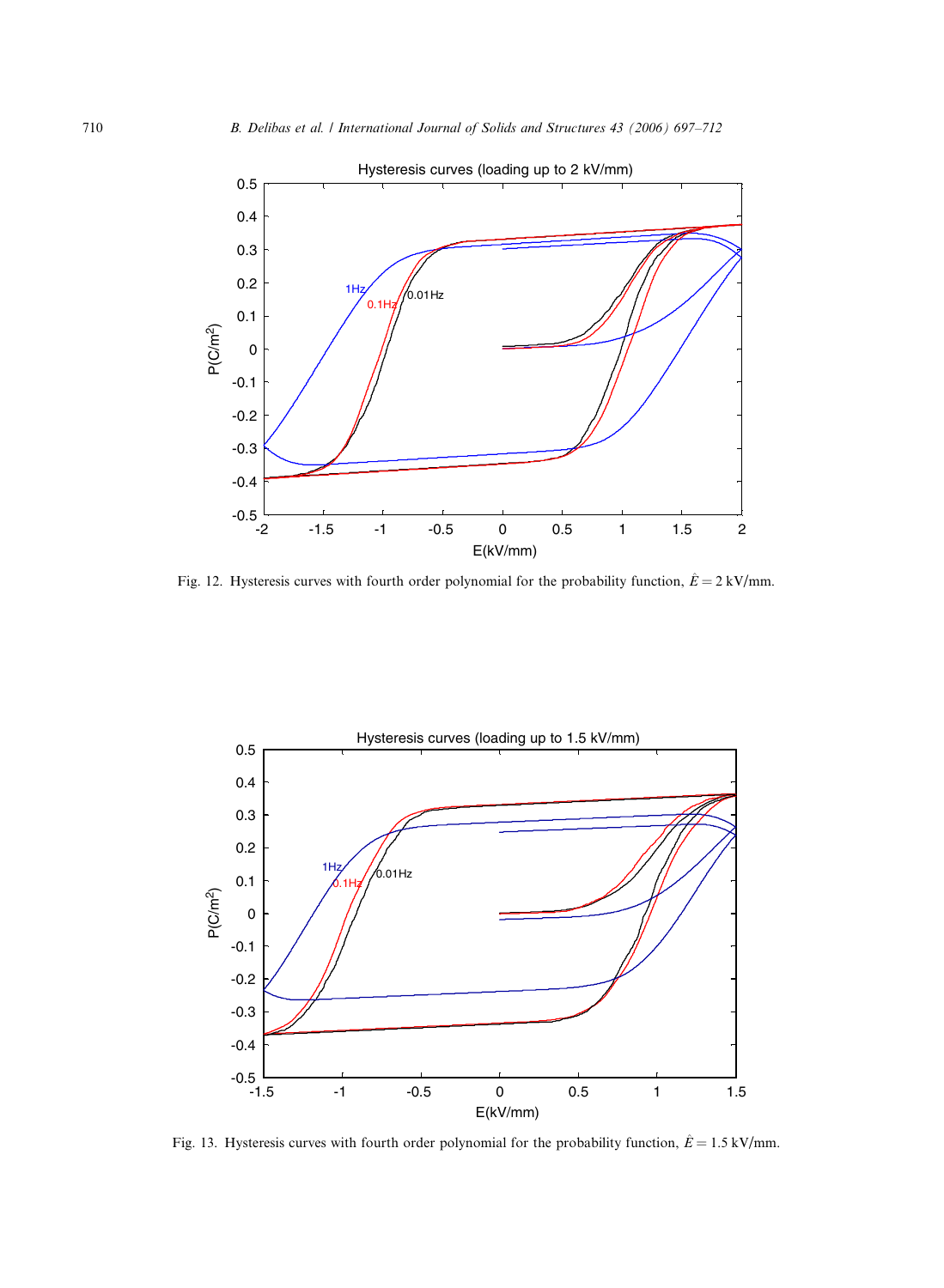

Fig. 12. Hysteresis curves with fourth order polynomial for the probability function,  $\hat{E} = 2 \text{ kV/mm}$ .



Fig. 13. Hysteresis curves with fourth order polynomial for the probability function,  $\hat{E} = 1.5 \text{ kV/mm}$ .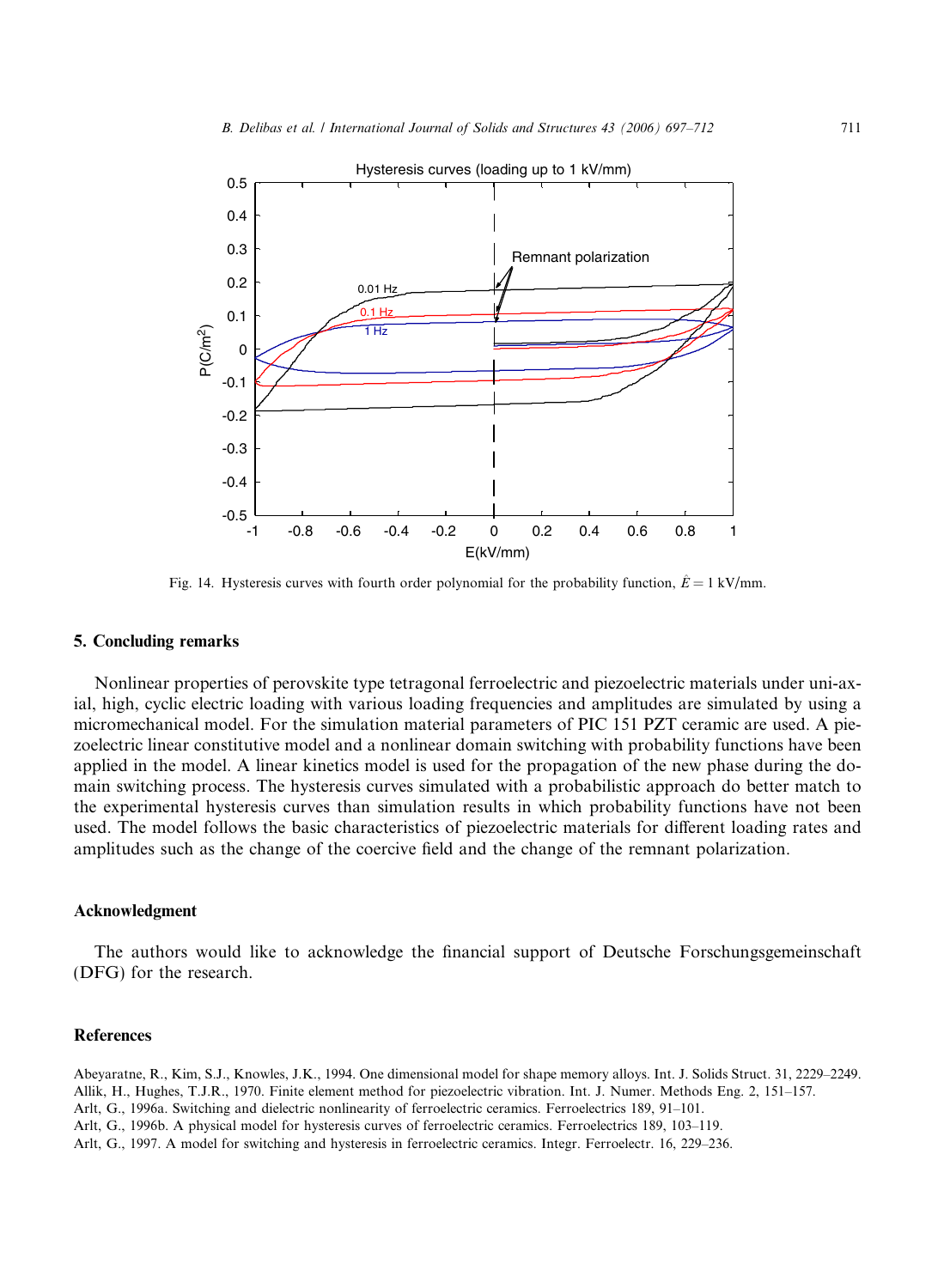

Fig. 14. Hysteresis curves with fourth order polynomial for the probability function,  $\hat{E} = 1 \text{ kV/mm}$ .

# 5. Concluding remarks

Nonlinear properties of perovskite type tetragonal ferroelectric and piezoelectric materials under uni-axial, high, cyclic electric loading with various loading frequencies and amplitudes are simulated by using a micromechanical model. For the simulation material parameters of PIC 151 PZT ceramic are used. A piezoelectric linear constitutive model and a nonlinear domain switching with probability functions have been applied in the model. A linear kinetics model is used for the propagation of the new phase during the domain switching process. The hysteresis curves simulated with a probabilistic approach do better match to the experimental hysteresis curves than simulation results in which probability functions have not been used. The model follows the basic characteristics of piezoelectric materials for different loading rates and amplitudes such as the change of the coercive field and the change of the remnant polarization.

### Acknowledgment

The authors would like to acknowledge the financial support of Deutsche Forschungsgemeinschaft (DFG) for the research.

# **References**

Abeyaratne, R., Kim, S.J., Knowles, J.K., 1994. One dimensional model for shape memory alloys. Int. J. Solids Struct. 31, 2229–2249. Allik, H., Hughes, T.J.R., 1970. Finite element method for piezoelectric vibration. Int. J. Numer. Methods Eng. 2, 151–157. Arlt, G., 1996a. Switching and dielectric nonlinearity of ferroelectric ceramics. Ferroelectrics 189, 91–101. Arlt, G., 1996b. A physical model for hysteresis curves of ferroelectric ceramics. Ferroelectrics 189, 103–119.

Arlt, G., 1997. A model for switching and hysteresis in ferroelectric ceramics. Integr. Ferroelectr. 16, 229–236.